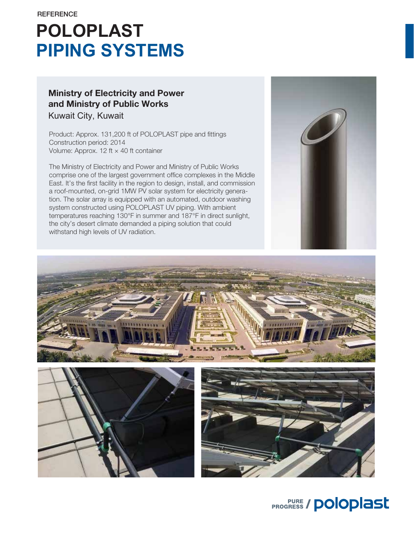# **POLOPLAST PIPING SYSTEMS**

### Ministry of Electricity and Power and Ministry of Public Works Kuwait City, Kuwait

Product: Approx. 131,200 ft of POLOPLAST pipe and fittings Construction period: 2014 Volume: Approx. 12 ft  $\times$  40 ft container

The Ministry of Electricity and Power and Ministry of Public Works comprise one of the largest government office complexes in the Middle East. It's the first facility in the region to design, install, and commission a roof-mounted, on-grid 1MW PV solar system for electricity generation. The solar array is equipped with an automated, outdoor washing system constructed using POLOPLAST UV piping. With ambient temperatures reaching 130°F in summer and 187°F in direct sunlight, the city's desert climate demanded a piping solution that could withstand high levels of UV radiation.









**PROGRESS / POlOplast**